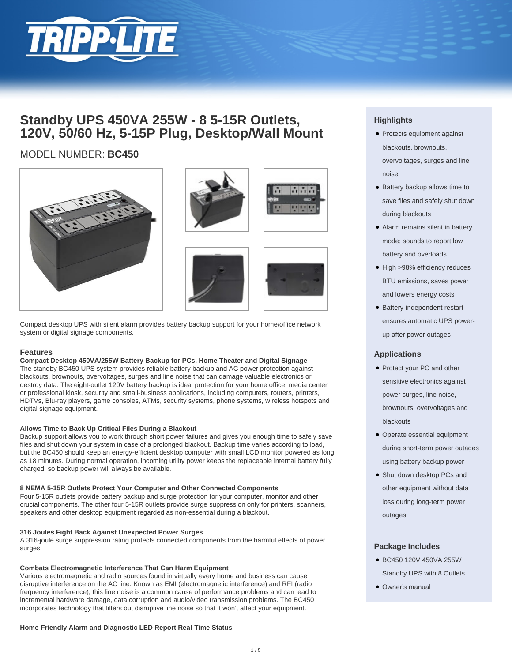

## **Standby UPS 450VA 255W - 8 5-15R Outlets, 120V, 50/60 Hz, 5-15P Plug, Desktop/Wall Mount**

## MODEL NUMBER: **BC450**



Compact desktop UPS with silent alarm provides battery backup support for your home/office network system or digital signage components.

## **Features**

#### **Compact Desktop 450VA/255W Battery Backup for PCs, Home Theater and Digital Signage**

The standby BC450 UPS system provides reliable battery backup and AC power protection against blackouts, brownouts, overvoltages, surges and line noise that can damage valuable electronics or destroy data. The eight-outlet 120V battery backup is ideal protection for your home office, media center or professional kiosk, security and small-business applications, including computers, routers, printers, HDTVs, Blu-ray players, game consoles, ATMs, security systems, phone systems, wireless hotspots and digital signage equipment.

#### **Allows Time to Back Up Critical Files During a Blackout**

Backup support allows you to work through short power failures and gives you enough time to safely save files and shut down your system in case of a prolonged blackout. Backup time varies according to load, but the BC450 should keep an energy-efficient desktop computer with small LCD monitor powered as long as 18 minutes. During normal operation, incoming utility power keeps the replaceable internal battery fully charged, so backup power will always be available.

#### **8 NEMA 5-15R Outlets Protect Your Computer and Other Connected Components**

Four 5-15R outlets provide battery backup and surge protection for your computer, monitor and other crucial components. The other four 5-15R outlets provide surge suppression only for printers, scanners, speakers and other desktop equipment regarded as non-essential during a blackout.

#### **316 Joules Fight Back Against Unexpected Power Surges**

A 316-joule surge suppression rating protects connected components from the harmful effects of power surges.

#### **Combats Electromagnetic Interference That Can Harm Equipment**

Various electromagnetic and radio sources found in virtually every home and business can cause disruptive interference on the AC line. Known as EMI (electromagnetic interference) and RFI (radio frequency interference), this line noise is a common cause of performance problems and can lead to incremental hardware damage, data corruption and audio/video transmission problems. The BC450 incorporates technology that filters out disruptive line noise so that it won't affect your equipment.

#### **Home-Friendly Alarm and Diagnostic LED Report Real-Time Status**





## **Highlights**

- Protects equipment against blackouts, brownouts, overvoltages, surges and line noise
- Battery backup allows time to save files and safely shut down during blackouts
- Alarm remains silent in battery mode; sounds to report low battery and overloads
- High >98% efficiency reduces BTU emissions, saves power and lowers energy costs
- Battery-independent restart ensures automatic UPS powerup after power outages

## **Applications**

- Protect your PC and other sensitive electronics against power surges, line noise, brownouts, overvoltages and blackouts
- Operate essential equipment during short-term power outages using battery backup power
- Shut down desktop PCs and other equipment without data loss during long-term power outages

#### **Package Includes**

- BC450 120V 450VA 255W Standby UPS with 8 Outlets
- Owner's manual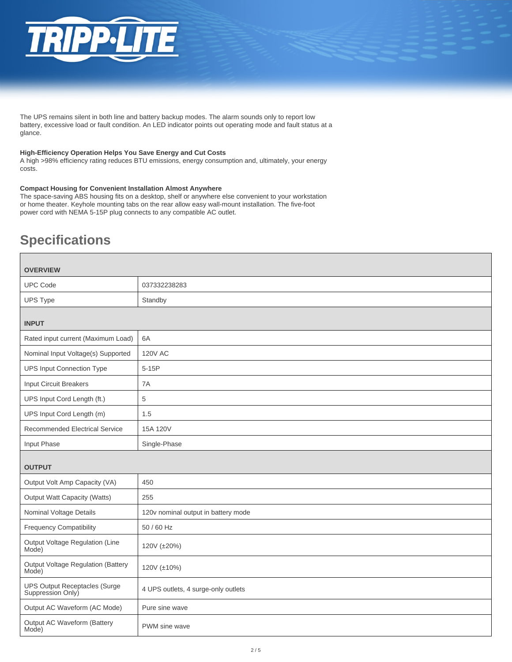

The UPS remains silent in both line and battery backup modes. The alarm sounds only to report low battery, excessive load or fault condition. An LED indicator points out operating mode and fault status at a glance.

#### **High-Efficiency Operation Helps You Save Energy and Cut Costs**

A high >98% efficiency rating reduces BTU emissions, energy consumption and, ultimately, your energy costs.

#### **Compact Housing for Convenient Installation Almost Anywhere**

The space-saving ABS housing fits on a desktop, shelf or anywhere else convenient to your workstation or home theater. Keyhole mounting tabs on the rear allow easy wall-mount installation. The five-foot power cord with NEMA 5-15P plug connects to any compatible AC outlet.

# **Specifications**

| <b>OVERVIEW</b>                                    |                                     |  |
|----------------------------------------------------|-------------------------------------|--|
| <b>UPC Code</b>                                    | 037332238283                        |  |
| <b>UPS Type</b>                                    | Standby                             |  |
| <b>INPUT</b>                                       |                                     |  |
| Rated input current (Maximum Load)                 | 6A                                  |  |
| Nominal Input Voltage(s) Supported                 | <b>120V AC</b>                      |  |
| <b>UPS Input Connection Type</b>                   | $5-15P$                             |  |
| <b>Input Circuit Breakers</b>                      | 7A                                  |  |
| UPS Input Cord Length (ft.)                        | 5                                   |  |
| UPS Input Cord Length (m)                          | 1.5                                 |  |
| Recommended Electrical Service                     | 15A 120V                            |  |
| Input Phase                                        | Single-Phase                        |  |
| <b>OUTPUT</b>                                      |                                     |  |
| Output Volt Amp Capacity (VA)                      | 450                                 |  |
| <b>Output Watt Capacity (Watts)</b>                | 255                                 |  |
| Nominal Voltage Details                            | 120v nominal output in battery mode |  |
| <b>Frequency Compatibility</b>                     | 50 / 60 Hz                          |  |
| Output Voltage Regulation (Line<br>Mode)           | 120V (±20%)                         |  |
| Output Voltage Regulation (Battery<br>Mode)        | 120V (±10%)                         |  |
| UPS Output Receptacles (Surge<br>Suppression Only) | 4 UPS outlets, 4 surge-only outlets |  |
| Output AC Waveform (AC Mode)                       | Pure sine wave                      |  |
| Output AC Waveform (Battery<br>Mode)               | PWM sine wave                       |  |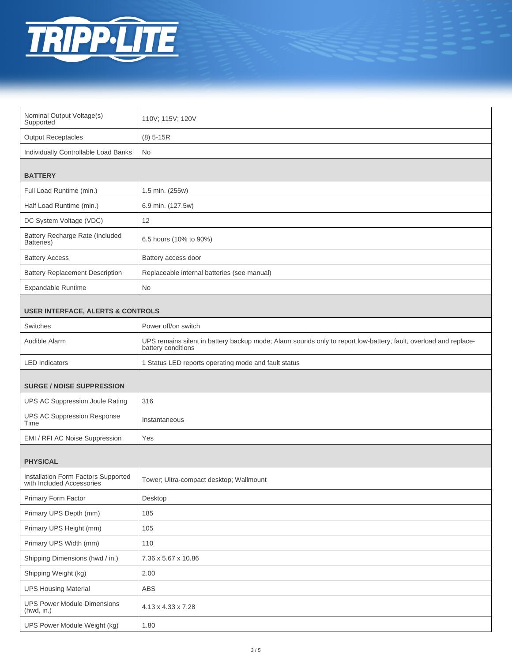

| Nominal Output Voltage(s)<br>Supported                           | 110V; 115V; 120V                                                                                                                       |  |
|------------------------------------------------------------------|----------------------------------------------------------------------------------------------------------------------------------------|--|
| <b>Output Receptacles</b>                                        | $(8)$ 5-15R                                                                                                                            |  |
| Individually Controllable Load Banks                             | No                                                                                                                                     |  |
| <b>BATTERY</b>                                                   |                                                                                                                                        |  |
| Full Load Runtime (min.)                                         | 1.5 min. (255w)                                                                                                                        |  |
| Half Load Runtime (min.)                                         | 6.9 min. (127.5w)                                                                                                                      |  |
| DC System Voltage (VDC)                                          | 12                                                                                                                                     |  |
| Battery Recharge Rate (Included<br>Batteries)                    | 6.5 hours (10% to 90%)                                                                                                                 |  |
| <b>Battery Access</b>                                            | Battery access door                                                                                                                    |  |
| <b>Battery Replacement Description</b>                           | Replaceable internal batteries (see manual)                                                                                            |  |
| <b>Expandable Runtime</b>                                        | No                                                                                                                                     |  |
| <b>USER INTERFACE, ALERTS &amp; CONTROLS</b>                     |                                                                                                                                        |  |
| Switches                                                         | Power off/on switch                                                                                                                    |  |
| Audible Alarm                                                    | UPS remains silent in battery backup mode; Alarm sounds only to report low-battery, fault, overload and replace-<br>battery conditions |  |
| <b>LED</b> Indicators                                            | 1 Status LED reports operating mode and fault status                                                                                   |  |
| <b>SURGE / NOISE SUPPRESSION</b>                                 |                                                                                                                                        |  |
| UPS AC Suppression Joule Rating                                  | 316                                                                                                                                    |  |
| <b>UPS AC Suppression Response</b><br>Time                       | Instantaneous                                                                                                                          |  |
| EMI / RFI AC Noise Suppression                                   | Yes                                                                                                                                    |  |
| <b>PHYSICAL</b>                                                  |                                                                                                                                        |  |
| Installation Form Factors Supported<br>with Included Accessories | Tower; Ultra-compact desktop; Wallmount                                                                                                |  |
| Primary Form Factor                                              | Desktop                                                                                                                                |  |
| Primary UPS Depth (mm)                                           | 185                                                                                                                                    |  |
| Primary UPS Height (mm)                                          | 105                                                                                                                                    |  |
| Primary UPS Width (mm)                                           | 110                                                                                                                                    |  |
| Shipping Dimensions (hwd / in.)                                  | 7.36 x 5.67 x 10.86                                                                                                                    |  |
| Shipping Weight (kg)                                             | 2.00                                                                                                                                   |  |
| <b>UPS Housing Material</b>                                      | ABS                                                                                                                                    |  |
| <b>UPS Power Module Dimensions</b><br>(hwd, in.)                 | 4.13 x 4.33 x 7.28                                                                                                                     |  |
| UPS Power Module Weight (kg)                                     | 1.80                                                                                                                                   |  |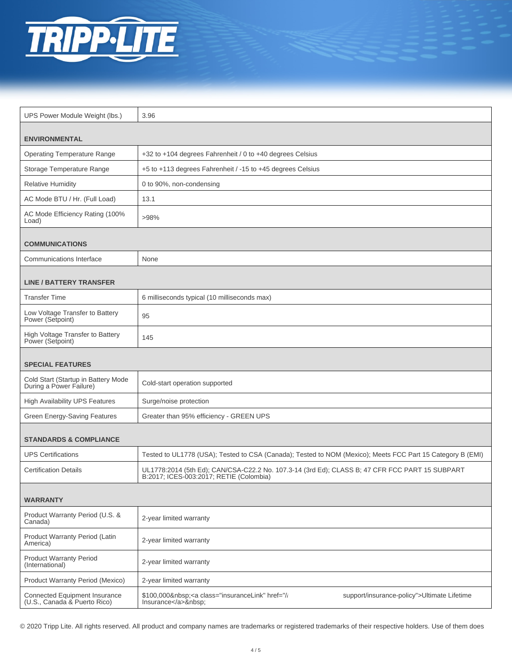

| UPS Power Module Weight (lbs.)                                       | 3.96                                                                                                                                      |
|----------------------------------------------------------------------|-------------------------------------------------------------------------------------------------------------------------------------------|
|                                                                      |                                                                                                                                           |
| <b>ENVIRONMENTAL</b>                                                 |                                                                                                                                           |
| <b>Operating Temperature Range</b>                                   | +32 to +104 degrees Fahrenheit / 0 to +40 degrees Celsius                                                                                 |
| Storage Temperature Range                                            | +5 to +113 degrees Fahrenheit / -15 to +45 degrees Celsius                                                                                |
| <b>Relative Humidity</b>                                             | 0 to 90%, non-condensing                                                                                                                  |
| AC Mode BTU / Hr. (Full Load)                                        | 13.1                                                                                                                                      |
| AC Mode Efficiency Rating (100%<br>Load)                             | >98%                                                                                                                                      |
| <b>COMMUNICATIONS</b>                                                |                                                                                                                                           |
| Communications Interface                                             | None                                                                                                                                      |
| <b>LINE / BATTERY TRANSFER</b>                                       |                                                                                                                                           |
| <b>Transfer Time</b>                                                 | 6 milliseconds typical (10 milliseconds max)                                                                                              |
| Low Voltage Transfer to Battery<br>Power (Setpoint)                  | 95                                                                                                                                        |
| High Voltage Transfer to Battery<br>Power (Setpoint)                 | 145                                                                                                                                       |
|                                                                      |                                                                                                                                           |
| <b>SPECIAL FEATURES</b>                                              |                                                                                                                                           |
| Cold Start (Startup in Battery Mode<br>During a Power Failure)       | Cold-start operation supported                                                                                                            |
| <b>High Availability UPS Features</b>                                | Surge/noise protection                                                                                                                    |
| <b>Green Energy-Saving Features</b>                                  | Greater than 95% efficiency - GREEN UPS                                                                                                   |
| <b>STANDARDS &amp; COMPLIANCE</b>                                    |                                                                                                                                           |
| <b>UPS Certifications</b>                                            | Tested to UL1778 (USA); Tested to CSA (Canada); Tested to NOM (Mexico); Meets FCC Part 15 Category B (EMI)                                |
| <b>Certification Details</b>                                         | UL1778:2014 (5th Ed); CAN/CSA-C22.2 No. 107.3-14 (3rd Ed); CLASS B; 47 CFR FCC PART 15 SUBPART<br>B:2017; ICES-003:2017; RETIE (Colombia) |
| <b>WARRANTY</b>                                                      |                                                                                                                                           |
| Product Warranty Period (U.S. &<br>Canada)                           | 2-year limited warranty                                                                                                                   |
| Product Warranty Period (Latin<br>America)                           | 2-year limited warranty                                                                                                                   |
| <b>Product Warranty Period</b><br>(International)                    | 2-year limited warranty                                                                                                                   |
| Product Warranty Period (Mexico)                                     | 2-year limited warranty                                                                                                                   |
| <b>Connected Equipment Insurance</b><br>(U.S., Canada & Puerto Rico) | \$100,000 <a class="insuranceLink" href="//&lt;br&gt;support/insurance-policy">Ultimate Lifetime<br/>Insurance</a> :                      |

© 2020 Tripp Lite. All rights reserved. All product and company names are trademarks or registered trademarks of their respective holders. Use of them does